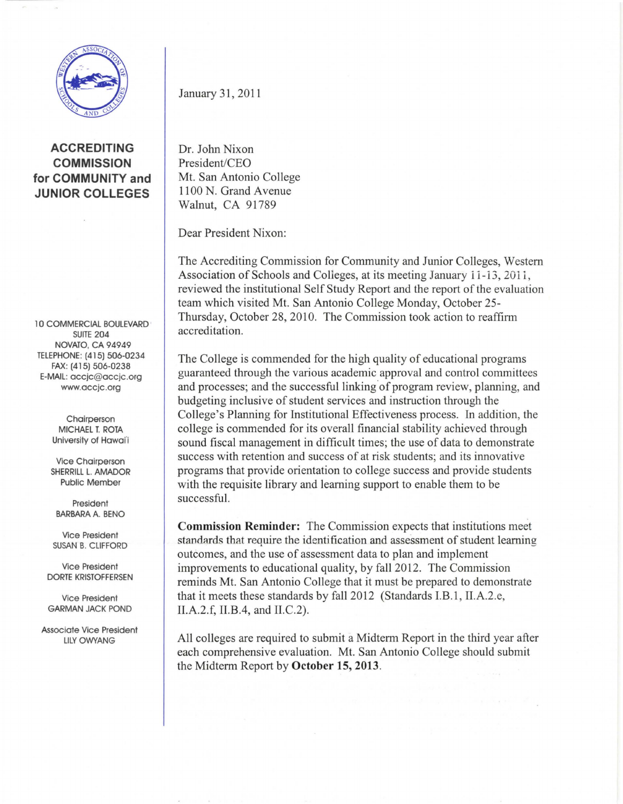

**ACCREDITING COMMISSION for COMMUNITY and JUNIOR COLLEGES** 

10 COMMERCIAL BOULEVARD · SUITE 204 NOVATO, CA 94949 TELEPHONE: (415) 506-0234 FAX: (415) 506-0238 E-MAIL: accjc@accjc.org www.accjc.org

> Chairperson MICHAEL T. ROTA University of Hawai'i

Vice Chairperson SHERRILL L. AMADOR Public Member

President BARBARA A. BENO

Vice President SUSAN B. CLIFFORD

Vice President DORTE KRISTOFFERSEN

Vice President GARMAN JACK POND

Associate Vice President **LILY OWYANG** 

January 31, 2011

Dr. John Nixon President/CEO Mt. San Antonio College 1100 N. Grand Avenue Walnut, CA 91789

Dear President Nixon:

The Accrediting Commission for Community and Junior Colleges, Western Association of Schools and Colleges, at its meeting January 11-13, 2011, reviewed the institutional Self Study Report and the report of the evaluation team which visited Mt. San Antonio College Monday, October 25 Thursday, October 28, 2010. The Commission took action to reaffirm accreditation.

The College is commended for the high quality of educational programs guaranteed through the various academic approval and control committees and processes; and the successful linking of program review, planning, and budgeting inclusive of student services and instruction through the College's Planning for Institutional Effectiveness process. In addition, the college is commended for its overall financial stability achieved through sound fiscal management in difficult times; the use of data to demonstrate success with retention and success of at risk students; and its innovative programs that provide orientation to college success and provide students with the requisite library and learning support to enable them to be successful.

**Commission Reminder:** The Commission expects that institutions meet standards that require the identification and assessment of student learning outcomes, and the use of assessment data to plan and implement improvements to educational quality, by fall 2012. The Commission reminds Mt. San Antonio College that it must be prepared to demonstrate that it meets these standards by fall 2012 (Standards LB.I, II.A.2.e, II.A.2.f, II.B.4, and II.C.2).

All colleges are required to submit a Midterm Report in the third year after each comprehensive evaluation. Mt. San Antonio College should submit the Midterm Report by **October 15, 2013.**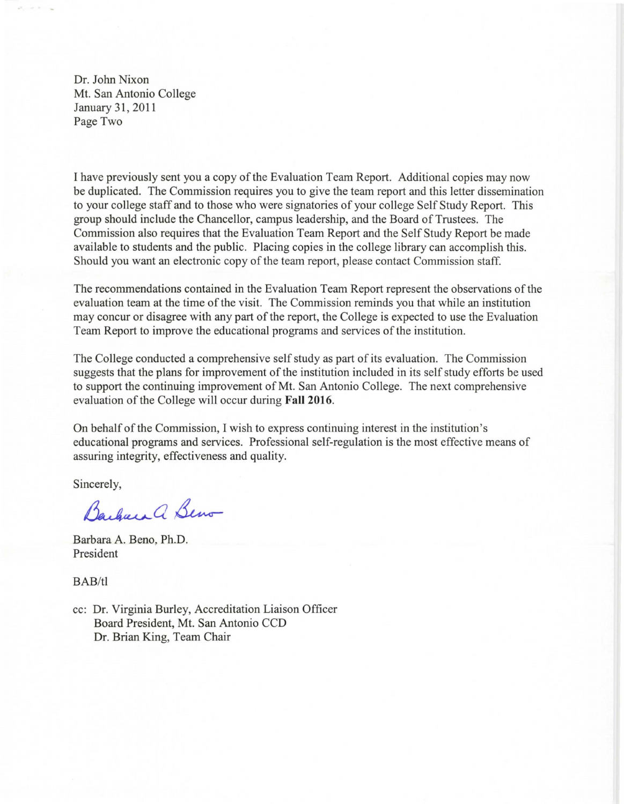Dr. John Nixon Mt. San Antonio College January 31, 2011 Page Two

I have previously sent you a copy of the Evaluation Team Report. Additional copies may now be duplicated. The Commission requires you to give the team report and this letter dissemination to your college staff and to those who were signatories of your college Self Study Report. This group should include the Chancellor, campus leadership, and the Board of Trustees. The Commission also requires that the Evaluation Team Report and the Self Study Report be made available to students and the public. Placing copies in the college library can accomplish this. Should you want an electronic copy of the team report, please contact Commission staff.

The recommendations contained in the Evaluation Team Report represent the observations of the evaluation team at the time of the visit. The Commission reminds you that while an institution may concur or disagree with any part of the report, the College is expected to use the Evaluation Team Report to improve the educational programs and services of the institution.

The College conducted a comprehensive self study as part of its evaluation. The Commission suggests that the plans for improvement of the institution included in its self study efforts be used to support the continuing improvement of Mt. San Antonio College. The next comprehensive evaluation of the College will occur during **Fall 2016**.

On behalf of the Commission, I wish to express continuing interest in the institution's educational programs and services. Professional self-regulation is the most effective means of assuring integrity, effectiveness and quality.

Sincerely,

Barbara a Beno

Barbara A. Beno, Ph.D. President

BAB/tl

cc: Dr. Virginia Burley, Accreditation Liaison Officer Board President, Mt. San Antonio CCD Dr. Brian King, Team Chair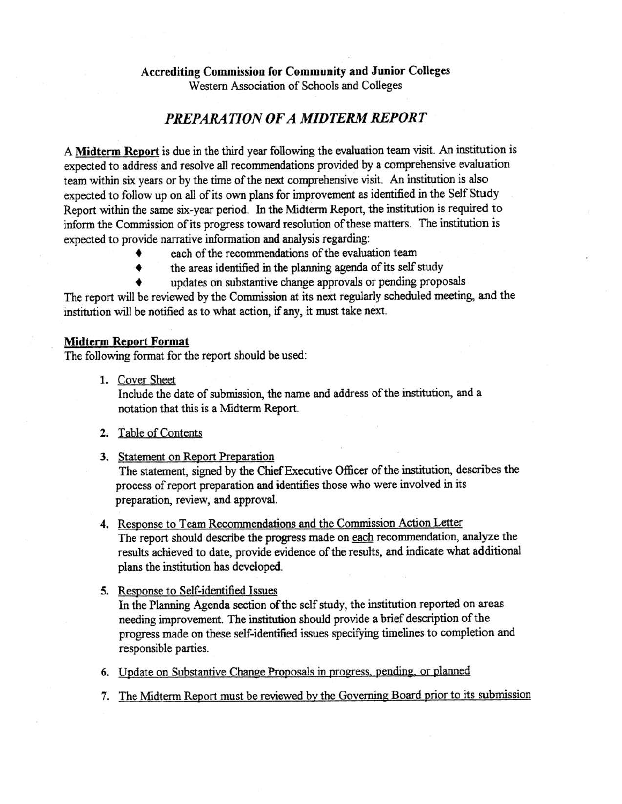## **Accrediting Commission for Community and Junior Colleges**

Western Association of Schools and Colleges

## *PREPARATION OF*A *MIDTERM REPORT*

A **Midterm Report** is due in the third year following the evaluation team visit. An institution is expected to address and resolve all recommendations provided by a comprehensive evaluation team within six years or by the time of the next comprehensive visit. An institution is also expected to follow up on all of its own plans for improvement as identified in the Self Study Report within the same six-year period. In the Midterm Report, the institution is required to inform the Commission of its progress toward resolution of these matters. The institution is expected to provide narrative information and analysis regarding:

- each of the recommendations of the evaluation team
- the areas identified in the planning agenda of its self study
- updates on substantive change approvals or pending proposals

The report will be reviewed by the Commission at its next regularly scheduled meeting, and the institution will be notified as to what action, if any, it must take next.

## **Midterm Report Format**

The following format for the report should be used:

1. Cover Sheet

Include the date of submission, the name and address of the institution, and a notation that this is a Midterm Report.

- **2.**  Table of Contents
- **3.** Statement on Report Preparation

The statement, signed by the Chief Executive Officer of the institution, describes the process of report preparation and identifies those who were involved in its preparation, review, and approval.

- **4.**  Response to Team Recommendations and the Commission Action Letter The report should describe the progress made on each recommendation, analyze the results achieved to date, provide evidence of the results, and indicate what additional plans the institution has developed.
- 5. Response to Self-identified Issues In the Planning Agenda section of the self study, the institution reported on areas

needing improvement. The institution should provide a brief description of the progress made on these self-identified issues specifying timelines to completion and responsible parties.

- 6. Update on Substantive Change Proposals in progress, pending, or planned
- 7. The Midterm Report must be reviewed by the Governing Board prior to its submission